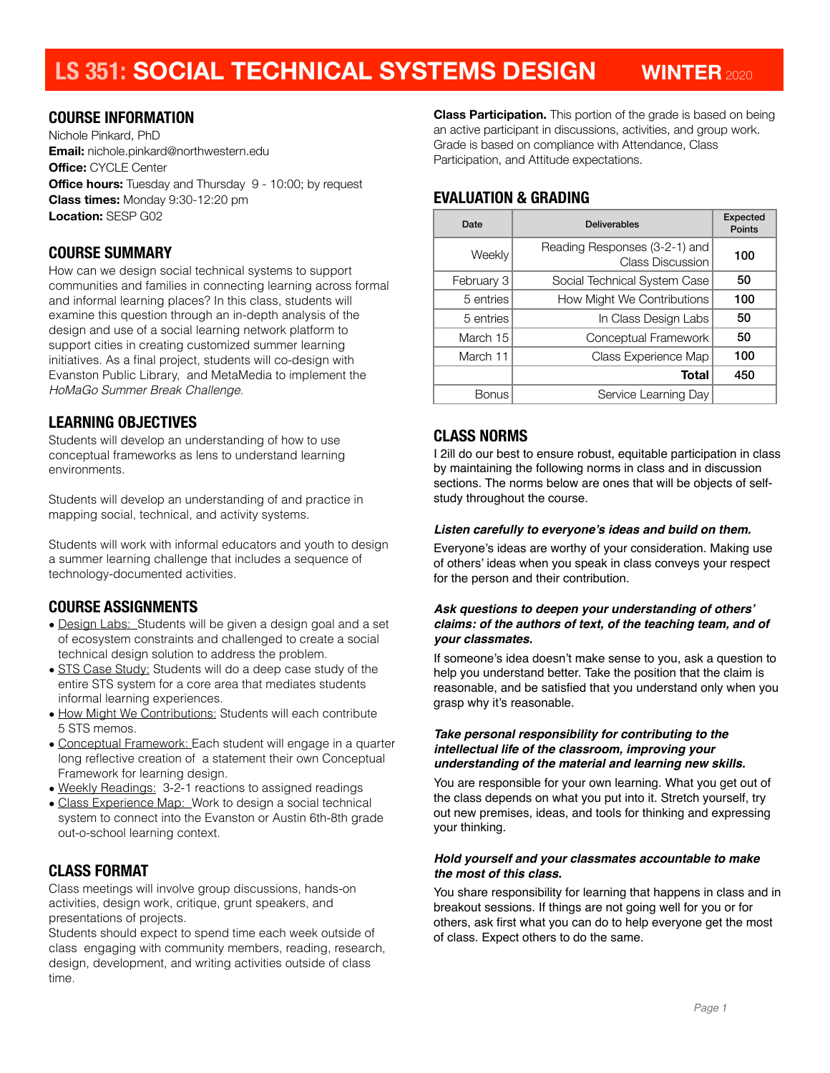# **LS 351: SOCIAL TECHNICAL SYSTEMS DESIGN WINTER**<sup>2020</sup>

### **COURSE INFORMATION**

Nichole Pinkard, PhD **Email:** nichole.pinkard@northwestern.edu **Office:** CYCLE Center **Office hours:** Tuesday and Thursday 9 - 10:00; by request **Class times:** Monday 9:30-12:20 pm **Location:** SESP G02

### **COURSE SUMMARY**

How can we design social technical systems to support communities and families in connecting learning across formal and informal learning places? In this class, students will examine this question through an in-depth analysis of the design and use of a social learning network platform to support cities in creating customized summer learning initiatives. As a final project, students will co-design with Evanston Public Library, and MetaMedia to implement the *HoMaGo Summer Break Challenge*.

#### **LEARNING OBJECTIVES**

Students will develop an understanding of how to use conceptual frameworks as lens to understand learning environments.

Students will develop an understanding of and practice in mapping social, technical, and activity systems.

Students will work with informal educators and youth to design a summer learning challenge that includes a sequence of technology-documented activities.

### **COURSE ASSIGNMENTS**

- Design Labs: Students will be given a design goal and a set of ecosystem constraints and challenged to create a social technical design solution to address the problem.
- STS Case Study: Students will do a deep case study of the entire STS system for a core area that mediates students informal learning experiences.
- How Might We Contributions: Students will each contribute 5 STS memos.
- Conceptual Framework: Each student will engage in a quarter long reflective creation of a statement their own Conceptual Framework for learning design.
- Weekly Readings: 3-2-1 reactions to assigned readings
- Class Experience Map: Work to design a social technical system to connect into the Evanston or Austin 6th-8th grade out-o-school learning context.

# **CLASS FORMAT**

Class meetings will involve group discussions, hands-on activities, design work, critique, grunt speakers, and presentations of projects.

Students should expect to spend time each week outside of class engaging with community members, reading, research, design, development, and writing activities outside of class time.

**Class Participation.** This portion of the grade is based on being an active participant in discussions, activities, and group work. Grade is based on compliance with Attendance, Class Participation, and Attitude expectations.

# **EVALUATION & GRADING**

| Date         | <b>Deliverables</b>                                      | <b>Expected</b><br>Points |
|--------------|----------------------------------------------------------|---------------------------|
| Weekly       | Reading Responses (3-2-1) and<br><b>Class Discussion</b> | 100                       |
| February 3   | Social Technical System Case                             | 50                        |
| 5 entries    | How Might We Contributions                               | 100                       |
| 5 entries    | In Class Design Labs                                     | 50                        |
| March 15     | Conceptual Framework                                     | 50                        |
| March 11     | Class Experience Map                                     | 100                       |
|              | <b>Total</b>                                             | 450                       |
| <b>Bonus</b> | Service Learning Day                                     |                           |

# **CLASS NORMS**

I 2ill do our best to ensure robust, equitable participation in class by maintaining the following norms in class and in discussion sections. The norms below are ones that will be objects of selfstudy throughout the course.

#### *Listen carefully to everyone's ideas and build on them.*

Everyone's ideas are worthy of your consideration. Making use of others' ideas when you speak in class conveys your respect for the person and their contribution.

#### *Ask questions to deepen your understanding of others' claims: of the authors of text, of the teaching team, and of your classmates.*

If someone's idea doesn't make sense to you, ask a question to help you understand better. Take the position that the claim is reasonable, and be satisfied that you understand only when you grasp why it's reasonable.

#### *Take personal responsibility for contributing to the intellectual life of the classroom, improving your understanding of the material and learning new skills.*

You are responsible for your own learning. What you get out of the class depends on what you put into it. Stretch yourself, try out new premises, ideas, and tools for thinking and expressing your thinking.

#### *Hold yourself and your classmates accountable to make the most of this class.*

You share responsibility for learning that happens in class and in breakout sessions. If things are not going well for you or for others, ask first what you can do to help everyone get the most of class. Expect others to do the same.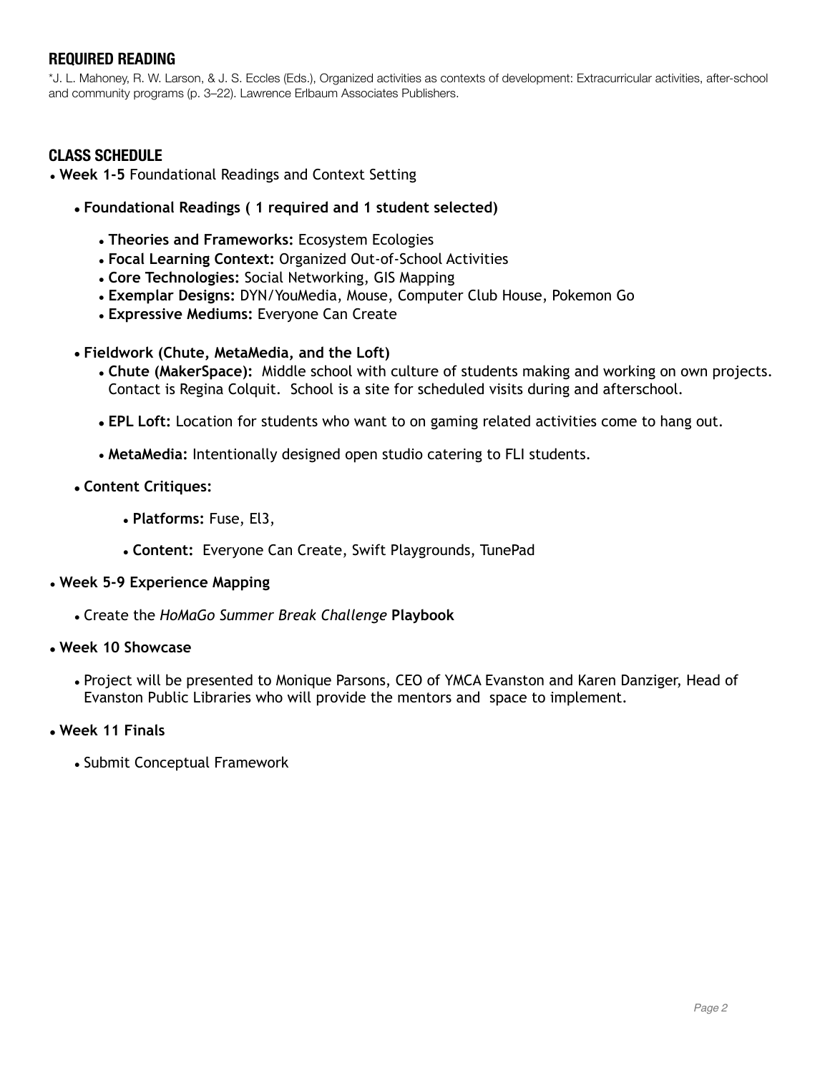## **REQUIRED READING**

\*J. L. Mahoney, R. W. Larson, & J. S. Eccles (Eds.), Organized activities as contexts of development: Extracurricular activities, after-school and community programs (p. 3–22). Lawrence Erlbaum Associates Publishers.

### **CLASS SCHEDULE**

• **Week 1-5** Foundational Readings and Context Setting

- **• Foundational Readings ( 1 required and 1 student selected)** 
	- **Theories and Frameworks:** Ecosystem Ecologies
	- **Focal Learning Context:** Organized Out-of-School Activities
	- **Core Technologies:** Social Networking, GIS Mapping
	- **Exemplar Designs:** DYN/YouMedia, Mouse, Computer Club House, Pokemon Go
	- **Expressive Mediums:** Everyone Can Create
- **• Fieldwork (Chute, MetaMedia, and the Loft)** 
	- **Chute (MakerSpace):** Middle school with culture of students making and working on own projects. Contact is Regina Colquit. School is a site for scheduled visits during and afterschool.
	- **• EPL Loft:** Location for students who want to on gaming related activities come to hang out.
	- **MetaMedia:** Intentionally designed open studio catering to FLI students.
- **• Content Critiques:** 
	- **Platforms:** Fuse, El3,
	- **Content:** Everyone Can Create, Swift Playgrounds, TunePad

#### • **Week 5-9 Experience Mapping**

• Create the *HoMaGo Summer Break Challenge* **Playbook** 

#### **• Week 10 Showcase**

• Project will be presented to Monique Parsons, CEO of YMCA Evanston and Karen Danziger, Head of Evanston Public Libraries who will provide the mentors and space to implement.

#### **• Week 11 Finals**

• Submit Conceptual Framework